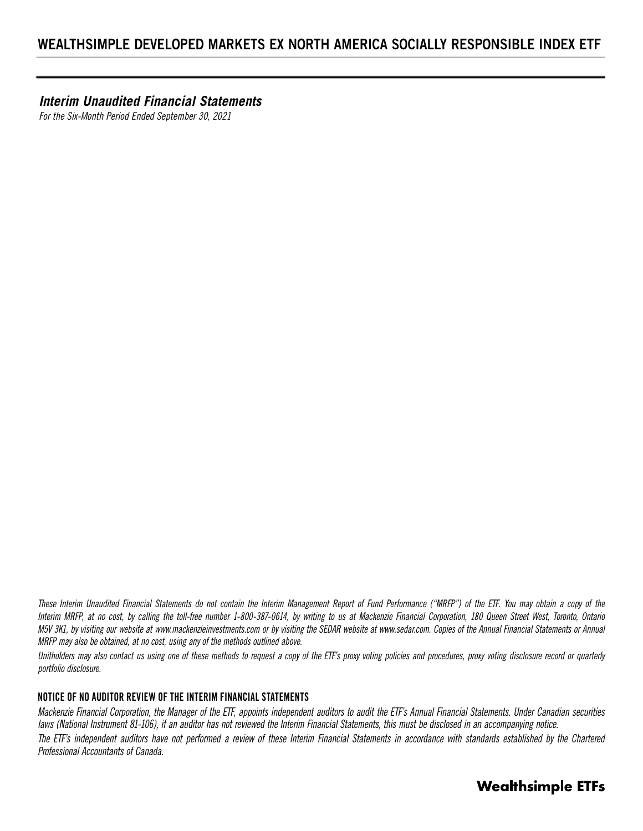*Interim Unaudited Financial Statements*

*For the Six-Month Period Ended September 30, 2021*

*These Interim Unaudited Financial Statements do not contain the Interim Management Report of Fund Performance ("MRFP") of the ETF. You may obtain a copy of the Interim MRFP, at no cost, by calling the toll-free number 1-800-387-0614, by writing to us at Mackenzie Financial Corporation, 180 Queen Street West, Toronto, Ontario M5V 3K1, by visiting our website at www.mackenzieinvestments.com or by visiting the SEDAR website at www.sedar.com. Copies of the Annual Financial Statements or Annual MRFP may also be obtained, at no cost, using any of the methods outlined above.* 

*Unitholders may also contact us using one of these methods to request a copy of the ETF's proxy voting policies and procedures, proxy voting disclosure record or quarterly portfolio disclosure.* 

# **NOTICE OF NO AUDITOR REVIEW OF THE INTERIM FINANCIAL STATEMENTS**

*Mackenzie Financial Corporation, the Manager of the ETF, appoints independent auditors to audit the ETF's Annual Financial Statements. Under Canadian securities laws (National Instrument 81-106), if an auditor has not reviewed the Interim Financial Statements, this must be disclosed in an accompanying notice.* The ETF's independent auditors have not performed a review of these Interim Financial Statements in accordance with standards established by the Chartered *Professional Accountants of Canada.*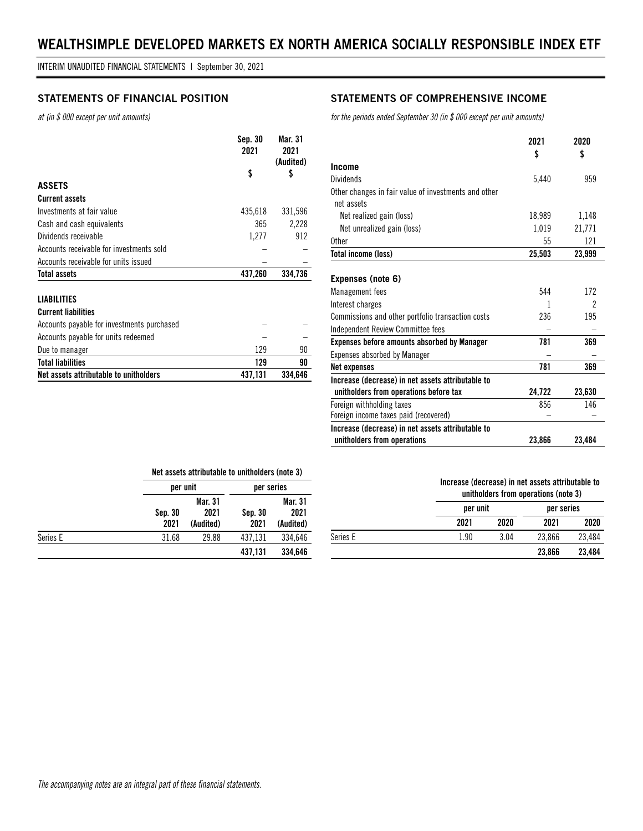*at (in \$ 000 except per unit amounts)*

|                                            | Sep. 30<br>2021 | Mar. 31<br>2021<br>(Audited) |
|--------------------------------------------|-----------------|------------------------------|
|                                            | \$              | \$                           |
| <b>ASSETS</b>                              |                 |                              |
| <b>Current assets</b>                      |                 |                              |
| Investments at fair value                  | 435,618         | 331,596                      |
| Cash and cash equivalents                  | 365             | 2,228                        |
| Dividends receivable                       | 1,277           | 912                          |
| Accounts receivable for investments sold   |                 |                              |
| Accounts receivable for units issued       |                 |                              |
| Total assets                               | 437,260         | 334.736                      |
| <b>LIABILITIES</b>                         |                 |                              |
| <b>Current liabilities</b>                 |                 |                              |
| Accounts payable for investments purchased |                 |                              |
| Accounts payable for units redeemed        |                 |                              |

Due to manager and the set of the set of the set of the set of the set of the set of the set of the set of the set of the set of the set of the set of the set of the set of the set of the set of the set of the set of the s **Total liabilities 129 90 Net assets attributable to unitholders** 437,131 334,646

# **STATEMENTS OF FINANCIAL POSITION STATEMENTS OF COMPREHENSIVE INCOME**

*for the periods ended September 30 (in \$ 000 except per unit amounts)*

|                                                      | 2021   | 2020   |
|------------------------------------------------------|--------|--------|
|                                                      | \$     | \$     |
| <b>Income</b>                                        |        |        |
| <b>Dividends</b>                                     | 5,440  | 959    |
| Other changes in fair value of investments and other |        |        |
| net assets                                           |        |        |
| Net realized gain (loss)                             | 18,989 | 1,148  |
| Net unrealized gain (loss)                           | 1,019  | 21,771 |
| 0ther                                                | 55     | 121    |
| Total income (loss)                                  | 25,503 | 23,999 |
|                                                      |        |        |
| Expenses (note 6)                                    |        |        |
| Management fees                                      | 544    | 172    |
| Interest charges                                     | 1      | 2      |
| Commissions and other portfolio transaction costs    | 236    | 195    |
| Independent Review Committee fees                    |        |        |
| <b>Expenses before amounts absorbed by Manager</b>   | 781    | 369    |
| <b>Expenses absorbed by Manager</b>                  |        |        |
| Net expenses                                         | 781    | 369    |
| Increase (decrease) in net assets attributable to    |        |        |
| unitholders from operations before tax               | 24,722 | 23,630 |
| Foreign withholding taxes                            | 856    | 146    |
| Foreign income taxes paid (recovered)                |        |        |
| Increase (decrease) in net assets attributable to    |        |        |
| unitholders from operations                          | 23,866 | 23,484 |

|          |                 | Net assets attributable to unitholders (note 3) |                 |                              |
|----------|-----------------|-------------------------------------------------|-----------------|------------------------------|
|          |                 | per unit                                        |                 | per series                   |
|          | Sep. 30<br>2021 | <b>Mar. 31</b><br>2021<br>(Audited)             | Sep. 30<br>2021 | Mar. 31<br>2021<br>(Audited) |
| Series E | 31.68           | 29.88                                           | 437,131         | 334,646                      |
|          |                 |                                                 | 437,131         | 334,646                      |

#### **Increase (decrease) in net assets attributable to unitholders from operations (note 3)**

|          | unitholders from operations (note 3) |          |        |            |
|----------|--------------------------------------|----------|--------|------------|
|          |                                      | per unit |        | per series |
|          | 2021                                 | 2020     | 2021   | 2020       |
| Series E | 1.90                                 | 3.04     | 23.866 | 23.484     |
|          |                                      |          | 23.866 | 23.484     |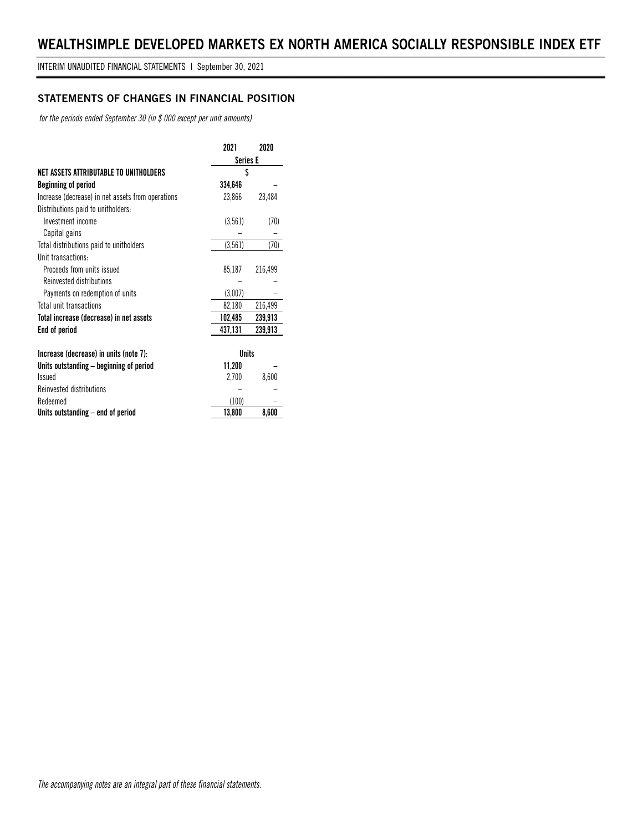# **STATEMENTS OF CHANGES IN FINANCIAL POSITION**

*for the periods ended September 30 (in \$ 000 except per unit amounts)*

|                                                   | 2021            | 2020    |
|---------------------------------------------------|-----------------|---------|
|                                                   | <b>Series E</b> |         |
| NET ASSETS ATTRIBUTABLE TO UNITHOLDERS            | \$              |         |
| Beginning of period                               | 334,646         |         |
| Increase (decrease) in net assets from operations | 23,866          | 23,484  |
| Distributions paid to unitholders:                |                 |         |
| Investment income                                 | (3, 561)        | (70)    |
| Capital gains                                     |                 |         |
| Total distributions paid to unitholders           | (3, 561)        | (70)    |
| Unit transactions:                                |                 |         |
| Proceeds from units issued                        | 85,187          | 216,499 |
| Reinvested distributions                          |                 |         |
| Payments on redemption of units                   | (3,007)         |         |
| Total unit transactions                           | 82,180          | 216,499 |
| Total increase (decrease) in net assets           | 102,485         | 239,913 |
| End of period                                     | 437,131         | 239,913 |
|                                                   |                 |         |
| Increase (decrease) in units (note 7):            | <b>Units</b>    |         |
| Units outstanding – beginning of period           | 11,200          |         |
| <b>Issued</b>                                     | 2,700           | 8,600   |
| Reinvested distributions                          |                 |         |
| Redeemed                                          | (100)           |         |
| Units outstanding – end of period                 | 13,800          | 8,600   |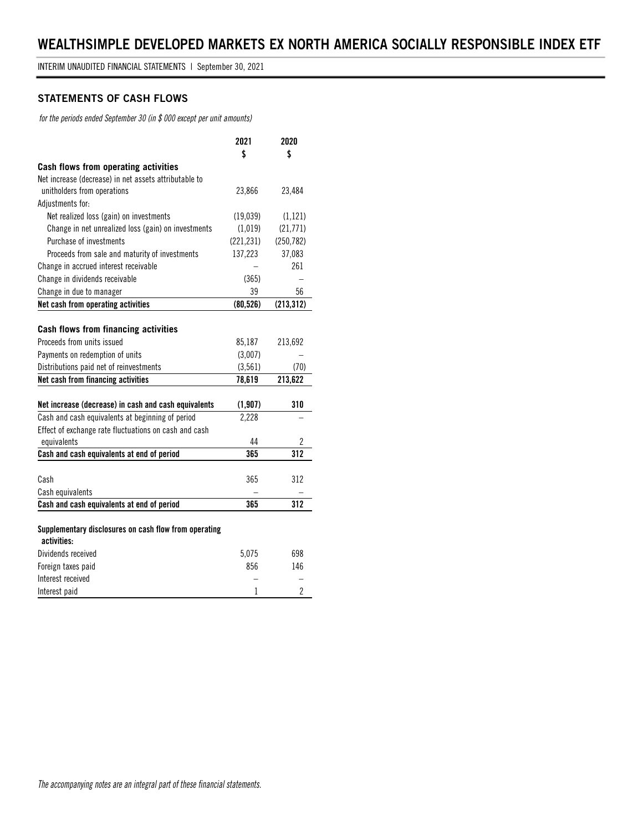# **STATEMENTS OF CASH FLOWS**

*for the periods ended September 30 (in \$ 000 except per unit amounts)*

|                                                       | 2021       | 2020           |
|-------------------------------------------------------|------------|----------------|
|                                                       | \$         | \$             |
| Cash flows from operating activities                  |            |                |
| Net increase (decrease) in net assets attributable to |            |                |
| unitholders from operations                           | 23,866     | 23,484         |
| Adjustments for:                                      |            |                |
| Net realized loss (gain) on investments               | (19,039)   | (1, 121)       |
| Change in net unrealized loss (gain) on investments   | (1,019)    | (21,771)       |
| Purchase of investments                               | (221, 231) | (250, 782)     |
| Proceeds from sale and maturity of investments        | 137,223    | 37,083         |
| Change in accrued interest receivable                 |            | 261            |
| Change in dividends receivable                        | (365)      |                |
| Change in due to manager                              | 39         | 56             |
| Net cash from operating activities                    | (80, 526)  | (213, 312)     |
|                                                       |            |                |
| <b>Cash flows from financing activities</b>           |            |                |
| Proceeds from units issued                            | 85,187     | 213,692        |
| Payments on redemption of units                       | (3,007)    |                |
| Distributions paid net of reinvestments               | (3, 561)   | (70)           |
| Net cash from financing activities                    | 78,619     | 213,622        |
|                                                       |            |                |
| Net increase (decrease) in cash and cash equivalents  | (1, 907)   | 310            |
| Cash and cash equivalents at beginning of period      | 2,228      |                |
| Effect of exchange rate fluctuations on cash and cash |            |                |
| equivalents                                           | 44         | 2              |
| Cash and cash equivalents at end of period            | 365        | 312            |
|                                                       |            |                |
| Cash                                                  | 365        | 312            |
| Cash equivalents                                      |            |                |
| Cash and cash equivalents at end of period            | 365        | 312            |
|                                                       |            |                |
| Supplementary disclosures on cash flow from operating |            |                |
| activities:                                           |            |                |
| Dividends received                                    | 5,075      | 698            |
| Foreign taxes paid                                    | 856        | 146            |
| Interest received                                     |            |                |
| Interest paid                                         | 1          | $\overline{c}$ |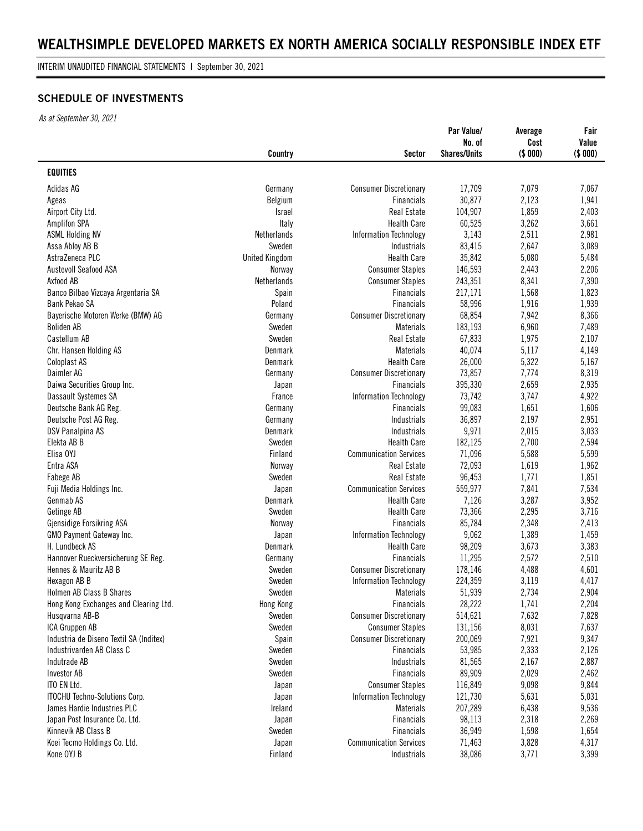INTERIM UNAUDITED FINANCIAL STATEMENTS | September 30, 2021

# **SCHEDULE OF INVESTMENTS**

*As at September 30, 2021*

|                                         | Country               | Sector                        | Par Value/<br>No. of<br><b>Shares/Units</b> | Average<br>Cost<br>(\$ 000) | Fair<br>Value<br>(\$ 000) |
|-----------------------------------------|-----------------------|-------------------------------|---------------------------------------------|-----------------------------|---------------------------|
| <b>EQUITIES</b>                         |                       |                               |                                             |                             |                           |
| Adidas AG                               | Germany               | <b>Consumer Discretionary</b> | 17,709                                      | 7,079                       | 7,067                     |
| Ageas                                   | Belgium               | <b>Financials</b>             | 30,877                                      | 2,123                       | 1,941                     |
| Airport City Ltd.                       | <b>Israel</b>         | Real Estate                   | 104,907                                     | 1,859                       | 2,403                     |
| <b>Amplifon SPA</b>                     | Italy                 | <b>Health Care</b>            | 60,525                                      | 3,262                       | 3,661                     |
| <b>ASML Holding NV</b>                  | Netherlands           | Information Technology        | 3,143                                       | 2,511                       | 2,981                     |
| Assa Abloy AB B                         | Sweden                | Industrials                   | 83,415                                      | 2,647                       | 3,089                     |
| AstraZeneca PLC                         | <b>United Kingdom</b> | <b>Health Care</b>            | 35,842                                      | 5,080                       | 5,484                     |
| Austevoll Seafood ASA                   |                       | <b>Consumer Staples</b>       | 146,593                                     | 2,443                       | 2,206                     |
|                                         | Norway                |                               |                                             |                             |                           |
| Axfood AB                               | Netherlands           | <b>Consumer Staples</b>       | 243,351                                     | 8,341                       | 7,390                     |
| Banco Bilbao Vizcaya Argentaria SA      | Spain                 | Financials                    | 217,171                                     | 1,568                       | 1,823                     |
| Bank Pekao SA                           | Poland                | Financials                    | 58,996                                      | 1,916                       | 1,939                     |
| Bayerische Motoren Werke (BMW) AG       | Germany               | <b>Consumer Discretionary</b> | 68,854                                      | 7,942                       | 8,366                     |
| <b>Boliden AB</b>                       | Sweden                | <b>Materials</b>              | 183,193                                     | 6,960                       | 7,489                     |
| Castellum AB                            | Sweden                | Real Estate                   | 67,833                                      | 1,975                       | 2,107                     |
| Chr. Hansen Holding AS                  | Denmark               | <b>Materials</b>              | 40,074                                      | 5,117                       | 4,149                     |
| <b>Coloplast AS</b>                     | Denmark               | <b>Health Care</b>            | 26,000                                      | 5,322                       | 5,167                     |
| Daimler AG                              | Germany               | <b>Consumer Discretionary</b> | 73,857                                      | 7,774                       | 8,319                     |
| Daiwa Securities Group Inc.             | Japan                 | <b>Financials</b>             | 395,330                                     | 2,659                       | 2,935                     |
| Dassault Systemes SA                    | France                | Information Technology        | 73,742                                      | 3,747                       | 4,922                     |
| Deutsche Bank AG Reg.                   | Germany               | Financials                    | 99,083                                      | 1,651                       | 1,606                     |
| Deutsche Post AG Reg.                   | Germany               | Industrials                   | 36,897                                      | 2,197                       | 2,951                     |
| DSV Panalpina AS                        | Denmark               | Industrials                   | 9,971                                       | 2,015                       | 3,033                     |
| Elekta AB B                             | Sweden                | <b>Health Care</b>            | 182,125                                     | 2,700                       | 2,594                     |
| Elisa OYJ                               | Finland               | <b>Communication Services</b> | 71,096                                      | 5,588                       | 5,599                     |
| Entra ASA                               | Norway                | Real Estate                   | 72,093                                      | 1,619                       | 1,962                     |
| Fabege AB                               | Sweden                | Real Estate                   | 96,453                                      | 1,771                       | 1,851                     |
| Fuji Media Holdings Inc.                | Japan                 | <b>Communication Services</b> | 559,977                                     | 7,841                       | 7,534                     |
| Genmab AS                               | Denmark               | <b>Health Care</b>            | 7,126                                       | 3,287                       | 3,952                     |
| Getinge AB                              | Sweden                | <b>Health Care</b>            | 73,366                                      | 2,295                       | 3,716                     |
| Gjensidige Forsikring ASA               | Norway                | <b>Financials</b>             | 85,784                                      | 2,348                       | 2,413                     |
| GMO Payment Gateway Inc.                | Japan                 | Information Technology        | 9,062                                       | 1,389                       | 1,459                     |
| H. Lundbeck AS                          | Denmark               | <b>Health Care</b>            | 98,209                                      | 3,673                       | 3,383                     |
| Hannover Rueckversicherung SE Reg.      | Germany               | <b>Financials</b>             | 11,295                                      | 2,572                       | 2,510                     |
| Hennes & Mauritz AB B                   | Sweden                | <b>Consumer Discretionary</b> | 178,146                                     | 4,488                       | 4,601                     |
| Hexagon AB B                            | Sweden                | <b>Information Technology</b> | 224,359                                     | 3,119                       | 4,417                     |
| Holmen AB Class B Shares                | Sweden                | Materials                     | 51,939                                      | 2,734                       | 2,904                     |
| Hong Kong Exchanges and Clearing Ltd.   | Hong Kong             | Financials                    | 28,222                                      | 1,741                       | 2,204                     |
| Husqvarna AB-B                          | Sweden                | <b>Consumer Discretionary</b> | 514,621                                     | 7,632                       |                           |
| ICA Gruppen AB                          | Sweden                | <b>Consumer Staples</b>       |                                             |                             | 7,828                     |
| Industria de Diseno Textil SA (Inditex) |                       |                               | 131,156                                     | 8,031                       | 7,637                     |
|                                         | Spain                 | <b>Consumer Discretionary</b> | 200,069                                     | 7,921                       | 9,347                     |
| Industrivarden AB Class C               | Sweden                | Financials                    | 53,985                                      | 2,333                       | 2,126                     |
| Indutrade AB                            | Sweden                | Industrials                   | 81,565                                      | 2,167                       | 2,887                     |
| <b>Investor AB</b>                      | Sweden                | Financials                    | 89,909                                      | 2,029                       | 2,462                     |
| ITO EN Ltd.                             | Japan                 | <b>Consumer Staples</b>       | 116,849                                     | 9,098                       | 9,844                     |
| ITOCHU Techno-Solutions Corp.           | Japan                 | Information Technology        | 121,730                                     | 5,631                       | 5,031                     |
| James Hardie Industries PLC             | Ireland               | <b>Materials</b>              | 207,289                                     | 6,438                       | 9,536                     |
| Japan Post Insurance Co. Ltd.           | Japan                 | Financials                    | 98,113                                      | 2,318                       | 2,269                     |
| Kinnevik AB Class B                     | Sweden                | Financials                    | 36,949                                      | 1,598                       | 1,654                     |
| Koei Tecmo Holdings Co. Ltd.            | Japan                 | <b>Communication Services</b> | 71,463                                      | 3,828                       | 4,317                     |
| Kone OYJ B                              | Finland               | Industrials                   | 38,086                                      | 3,771                       | 3,399                     |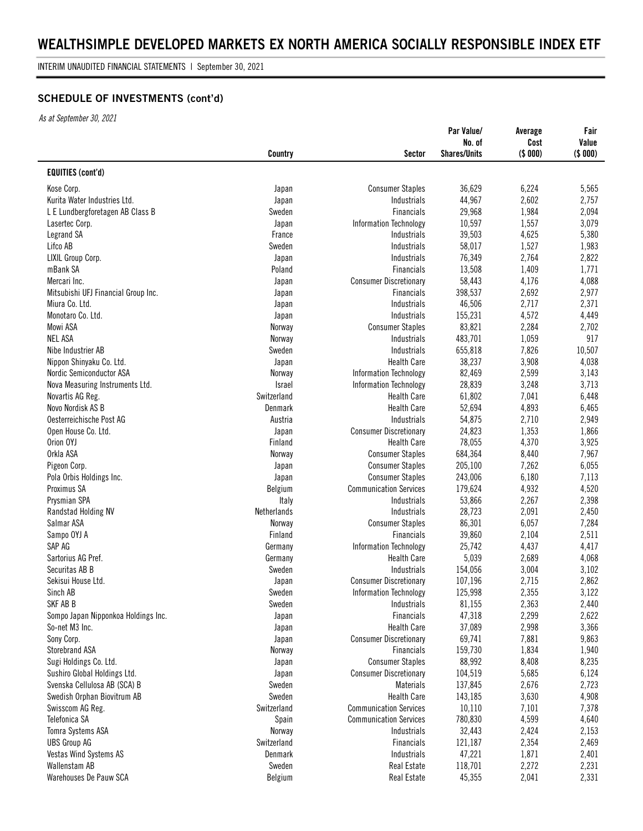INTERIM UNAUDITED FINANCIAL STATEMENTS | September 30, 2021

# **SCHEDULE OF INVESTMENTS (cont'd)**

*As at September 30, 2021*

|                                     |               |                               | Par Value/<br>No. of | Average<br>Cost | Fair<br>Value |
|-------------------------------------|---------------|-------------------------------|----------------------|-----------------|---------------|
|                                     | Country       | <b>Sector</b>                 | <b>Shares/Units</b>  | (\$ 000)        | (\$ 000)      |
| <b>EQUITIES (cont'd)</b>            |               |                               |                      |                 |               |
| Kose Corp.                          | Japan         | <b>Consumer Staples</b>       | 36,629               | 6,224           | 5,565         |
| Kurita Water Industries Ltd.        | Japan         | Industrials                   | 44,967               | 2,602           | 2,757         |
| L E Lundbergforetagen AB Class B    | Sweden        | <b>Financials</b>             | 29,968               | 1,984           | 2,094         |
| Lasertec Corp.                      | Japan         | Information Technology        | 10,597               | 1,557           | 3,079         |
| Legrand SA                          | France        | Industrials                   | 39,503               | 4,625           | 5,380         |
| Lifco AB                            | Sweden        | <b>Industrials</b>            | 58,017               | 1,527           | 1,983         |
| LIXIL Group Corp.                   | Japan         | Industrials                   | 76,349               | 2,764           | 2,822         |
| mBank SA                            | Poland        | Financials                    | 13,508               | 1,409           | 1,771         |
| Mercari Inc.                        | Japan         | <b>Consumer Discretionary</b> | 58,443               | 4,176           | 4,088         |
| Mitsubishi UFJ Financial Group Inc. | Japan         | Financials                    | 398,537              | 2,692           | 2,977         |
| Miura Co. Ltd.                      | Japan         | Industrials                   | 46,506               | 2,717           | 2,371         |
| Monotaro Co. Ltd.                   | Japan         | <b>Industrials</b>            | 155,231              | 4,572           | 4,449         |
| Mowi ASA                            | Norway        | <b>Consumer Staples</b>       | 83,821               | 2,284           | 2,702         |
| <b>NEL ASA</b>                      | Norway        | Industrials                   | 483,701              | 1,059           | 917           |
| Nibe Industrier AB                  | Sweden        | Industrials                   | 655,818              | 7,826           | 10,507        |
| Nippon Shinyaku Co. Ltd.            | Japan         | <b>Health Care</b>            | 38,237               | 3,908           | 4,038         |
| Nordic Semiconductor ASA            | Norway        | Information Technology        | 82,469               | 2,599           | 3,143         |
| Nova Measuring Instruments Ltd.     | <b>Israel</b> | Information Technology        | 28,839               | 3,248           | 3,713         |
| Novartis AG Reg.                    | Switzerland   | <b>Health Care</b>            | 61,802               | 7,041           | 6,448         |
| Novo Nordisk AS B                   | Denmark       | <b>Health Care</b>            | 52,694               | 4,893           | 6,465         |
| Oesterreichische Post AG            | Austria       | Industrials                   | 54,875               | 2,710           | 2,949         |
| Open House Co. Ltd.                 | Japan         | <b>Consumer Discretionary</b> | 24,823               | 1,353           | 1,866         |
| Orion OYJ                           | Finland       | <b>Health Care</b>            | 78,055               | 4,370           | 3,925         |
| Orkla ASA                           | Norway        | <b>Consumer Staples</b>       | 684,364              | 8,440           | 7,967         |
| Pigeon Corp.                        | Japan         | <b>Consumer Staples</b>       | 205,100              | 7,262           | 6,055         |
| Pola Orbis Holdings Inc.            | Japan         | <b>Consumer Staples</b>       | 243,006              | 6,180           | 7,113         |
| Proximus SA                         | Belgium       | <b>Communication Services</b> | 179,624              | 4,932           | 4,520         |
| Prysmian SPA                        | Italy         | Industrials                   | 53,866               | 2,267           | 2,398         |
| Randstad Holding NV                 | Netherlands   | Industrials                   | 28,723               | 2,091           | 2,450         |
| Salmar ASA                          | Norway        | <b>Consumer Staples</b>       | 86,301               | 6,057           | 7,284         |
| Sampo OYJ A                         | Finland       | <b>Financials</b>             | 39,860               | 2,104           | 2,511         |
| SAP AG                              | Germany       | Information Technology        | 25,742               | 4,437           | 4,417         |
| Sartorius AG Pref.                  | Germany       | <b>Health Care</b>            | 5,039                | 2,689           | 4,068         |
| Securitas AB B                      | Sweden        | Industrials                   | 154,056              | 3,004           | 3,102         |
| Sekisui House Ltd.                  | Japan         | <b>Consumer Discretionary</b> | 107,196              | 2,715           | 2,862         |
| Sinch AB                            | Sweden        | <b>Information Technology</b> | 125,998              | 2,355           | 3,122         |
| SKF AB B                            | Sweden        | Industrials                   | 81,155               | 2,363           | 2,440         |
| Sompo Japan Nipponkoa Holdings Inc. | Japan         | Financials                    | 47,318               | 2,299           | 2,622         |
| So-net M3 Inc.                      | Japan         | <b>Health Care</b>            | 37,089               | 2,998           | 3,366         |
| Sony Corp.                          | Japan         | <b>Consumer Discretionary</b> | 69,741               | 7,881           | 9,863         |
| Storebrand ASA                      | Norway        | Financials                    | 159,730              | 1,834           | 1,940         |
| Sugi Holdings Co. Ltd.              | Japan         | <b>Consumer Staples</b>       | 88,992               | 8,408           | 8,235         |
| Sushiro Global Holdings Ltd.        | Japan         | <b>Consumer Discretionary</b> | 104,519              | 5,685           | 6,124         |
| Svenska Cellulosa AB (SCA) B        | Sweden        | <b>Materials</b>              | 137,845              | 2,676           | 2,723         |
| Swedish Orphan Biovitrum AB         | Sweden        | <b>Health Care</b>            | 143,185              | 3,630           | 4,908         |
| Swisscom AG Reg.                    | Switzerland   | <b>Communication Services</b> | 10,110               | 7,101           | 7,378         |
| Telefonica SA                       | Spain         | <b>Communication Services</b> | 780,830              | 4,599           | 4,640         |
| Tomra Systems ASA                   | Norway        | Industrials                   | 32,443               | 2,424           | 2,153         |
| <b>UBS Group AG</b>                 | Switzerland   | Financials                    | 121,187              | 2,354           | 2,469         |
| Vestas Wind Systems AS              | Denmark       | Industrials                   | 47,221               | 1,871           | 2,401         |
| Wallenstam AB                       | Sweden        | Real Estate                   | 118,701              | 2,272           | 2,231         |
| Warehouses De Pauw SCA              | Belgium       | Real Estate                   | 45,355               | 2,041           | 2,331         |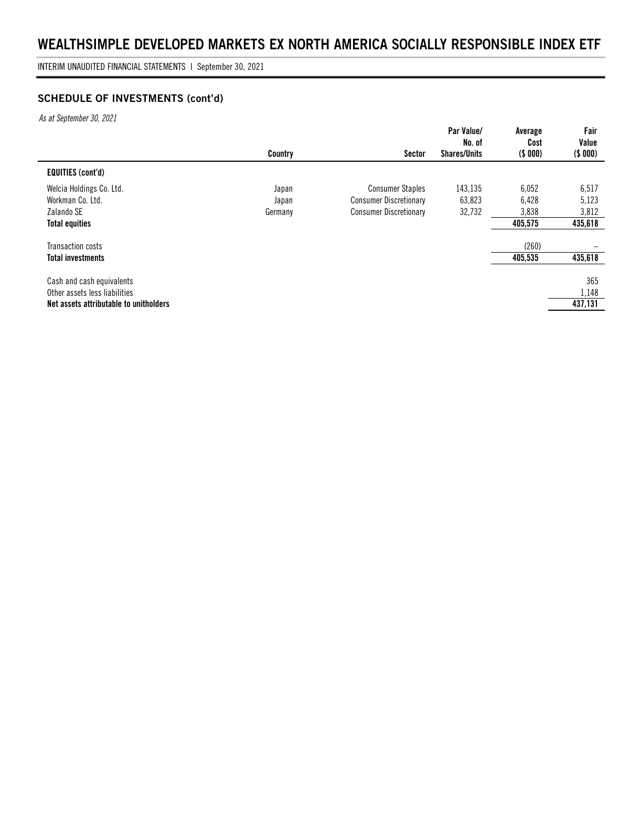INTERIM UNAUDITED FINANCIAL STATEMENTS | September 30, 2021

# **SCHEDULE OF INVESTMENTS (cont'd)**

*As at September 30, 2021*

|                                        | Country | Sector                        | Par Value/<br>No. of<br><b>Shares/Units</b> | Average<br>Cost<br>( \$ 000) | Fair<br>Value<br>(\$000) |
|----------------------------------------|---------|-------------------------------|---------------------------------------------|------------------------------|--------------------------|
| <b>EQUITIES (cont'd)</b>               |         |                               |                                             |                              |                          |
| Welcia Holdings Co. Ltd.               | Japan   | <b>Consumer Staples</b>       | 143.135                                     | 6,052                        | 6,517                    |
| Workman Co. Ltd.                       | Japan   | <b>Consumer Discretionary</b> | 63,823                                      | 6,428                        | 5,123                    |
| Zalando SE                             | Germany | <b>Consumer Discretionary</b> | 32,732                                      | 3,838                        | 3,812                    |
| <b>Total equities</b>                  |         |                               |                                             | 405,575                      | 435,618                  |
| Transaction costs                      |         |                               |                                             | (260)                        |                          |
| <b>Total investments</b>               |         |                               |                                             | 405,535                      | 435,618                  |
| Cash and cash equivalents              |         |                               |                                             |                              | 365                      |
| Other assets less liabilities          |         |                               |                                             |                              | 1,148                    |
| Net assets attributable to unitholders |         |                               |                                             |                              | 437,131                  |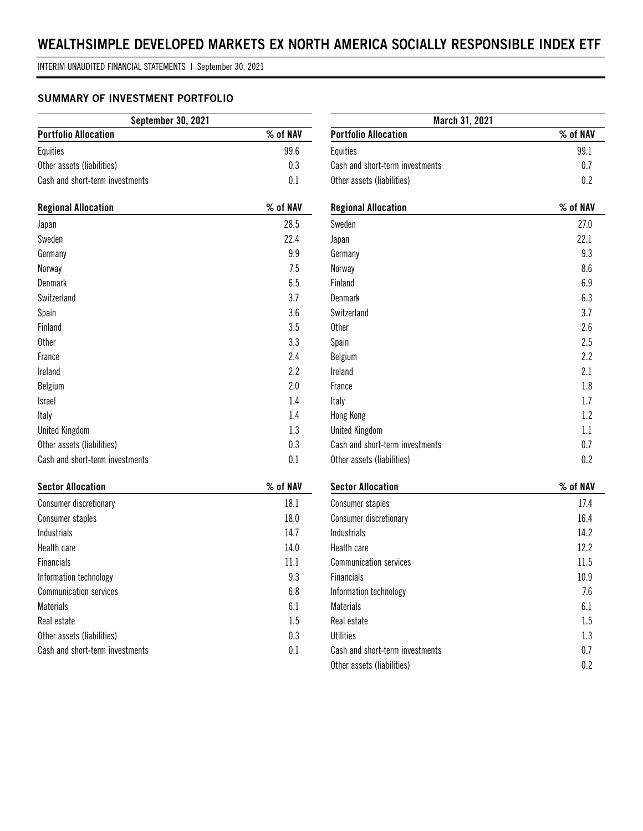INTERIM UNAUDITED FINANCIAL STATEMENTS | September 30, 2021

# **SUMMARY OF INVESTMENT PORTFOLIO**

| <b>September 30, 2021</b>       |          |  |
|---------------------------------|----------|--|
| <b>Portfolio Allocation</b>     | % of NAV |  |
| Equities                        | 99.6     |  |
| Other assets (liabilities)      | 0.3      |  |
| Cash and short-term investments | 0 1      |  |

| <b>Regional Allocation</b>      | % of NAV |
|---------------------------------|----------|
| Japan                           | 28.5     |
| Sweden                          | 22.4     |
| Germany                         | 9.9      |
| Norway                          | 7.5      |
| Denmark                         | 6.5      |
| Switzerland                     | 3.7      |
| Spain                           | 3.6      |
| Finland                         | 3.5      |
| <b>Other</b>                    | 3.3      |
| France                          | 2.4      |
| Ireland                         | 2.2      |
| <b>Belgium</b>                  | 2.0      |
| <b>Israel</b>                   | 1.4      |
| Italy                           | 1.4      |
| <b>United Kingdom</b>           | 1.3      |
| Other assets (liabilities)      | 0.3      |
| Cash and short-term investments | 0.1      |

| <b>Sector Allocation</b>        | % of NAV |
|---------------------------------|----------|
| <b>Consumer discretionary</b>   | 18.1     |
| Consumer staples                | 18.0     |
| Industrials                     | 14.7     |
| Health care                     | 14.0     |
| <b>Financials</b>               | 11.1     |
| Information technology          | 9.3      |
| <b>Communication services</b>   | 6.8      |
| <b>Materials</b>                | 6.1      |
| Real estate                     | 1.5      |
| Other assets (liabilities)      | 0.3      |
| Cash and short-term investments | 0.1      |

| March 31, 2021                  |          |
|---------------------------------|----------|
| <b>Portfolio Allocation</b>     | % of NAV |
| Equities                        | 99.1     |
| Cash and short-term investments | 0.7      |
| Other assets (liabilities)      | 0.2      |
| <b>Regional Allocation</b>      | % of NAV |
| Sweden                          | 27.0     |
| Japan                           | 22.1     |
| Germany                         | 9.3      |
| Norway                          | 8.6      |
| Finland                         | 6.9      |
| <b>Denmark</b>                  | 6.3      |
| Switzerland                     | 3.7      |
| <b>Other</b>                    | 2.6      |
| Spain                           | 2.5      |
| Belgium                         | 2.2      |
| Ireland                         | 2.1      |
| France                          | 1.8      |
| Italy                           | 1.7      |
| Hong Kong                       | 1.2      |
| <b>United Kingdom</b>           | 1.1      |
| Cash and short-term investments | 0.7      |
| Other assets (liabilities)      | 0.2      |
| <b>Sector Allocation</b>        | % of NAV |

| JGULUI MIIUUQLIUII              | 70 UI IVAV |
|---------------------------------|------------|
| Consumer staples                | 17.4       |
| <b>Consumer discretionary</b>   | 16.4       |
| Industrials                     | 14.2       |
| Health care                     | 12.2       |
| <b>Communication services</b>   | 11.5       |
| <b>Financials</b>               | 10.9       |
| Information technology          | 7.6        |
| <b>Materials</b>                | 6.1        |
| Real estate                     | 1.5        |
| <b>Utilities</b>                | 1.3        |
| Cash and short-term investments | 0.7        |
| Other assets (liabilities)      | 0.2        |
|                                 |            |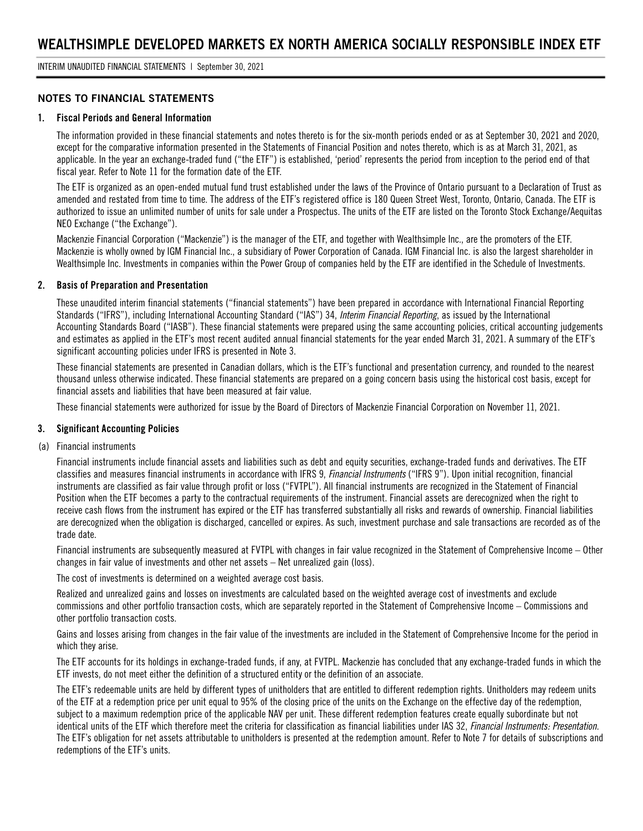### **NOTES TO FINANCIAL STATEMENTS**

#### **1. Fiscal Periods and General Information**

The information provided in these financial statements and notes thereto is for the six-month periods ended or as at September 30, 2021 and 2020, except for the comparative information presented in the Statements of Financial Position and notes thereto, which is as at March 31, 2021, as applicable. In the year an exchange-traded fund ("the ETF") is established, 'period' represents the period from inception to the period end of that fiscal year. Refer to Note 11 for the formation date of the ETF.

The ETF is organized as an open-ended mutual fund trust established under the laws of the Province of Ontario pursuant to a Declaration of Trust as amended and restated from time to time. The address of the ETF's registered office is 180 Queen Street West, Toronto, Ontario, Canada. The ETF is authorized to issue an unlimited number of units for sale under a Prospectus. The units of the ETF are listed on the Toronto Stock Exchange/Aequitas NEO Exchange ("the Exchange").

Mackenzie Financial Corporation ("Mackenzie") is the manager of the ETF, and together with Wealthsimple Inc., are the promoters of the ETF. Mackenzie is wholly owned by IGM Financial Inc., a subsidiary of Power Corporation of Canada. IGM Financial Inc. is also the largest shareholder in Wealthsimple Inc. Investments in companies within the Power Group of companies held by the ETF are identified in the Schedule of Investments.

#### **2. Basis of Preparation and Presentation**

These unaudited interim financial statements ("financial statements") have been prepared in accordance with International Financial Reporting Standards ("IFRS"), including International Accounting Standard ("IAS") 34, *Interim Financial Reporting*, as issued by the International Accounting Standards Board ("IASB"). These financial statements were prepared using the same accounting policies, critical accounting judgements and estimates as applied in the ETF's most recent audited annual financial statements for the year ended March 31, 2021. A summary of the ETF's significant accounting policies under IFRS is presented in Note 3.

These financial statements are presented in Canadian dollars, which is the ETF's functional and presentation currency, and rounded to the nearest thousand unless otherwise indicated. These financial statements are prepared on a going concern basis using the historical cost basis, except for financial assets and liabilities that have been measured at fair value.

These financial statements were authorized for issue by the Board of Directors of Mackenzie Financial Corporation on November 11, 2021.

#### **3. Significant Accounting Policies**

(a) Financial instruments

Financial instruments include financial assets and liabilities such as debt and equity securities, exchange-traded funds and derivatives. The ETF classifies and measures financial instruments in accordance with IFRS 9, *Financial Instruments* ("IFRS 9"). Upon initial recognition, financial instruments are classified as fair value through profit or loss ("FVTPL"). All financial instruments are recognized in the Statement of Financial Position when the ETF becomes a party to the contractual requirements of the instrument. Financial assets are derecognized when the right to receive cash flows from the instrument has expired or the ETF has transferred substantially all risks and rewards of ownership. Financial liabilities are derecognized when the obligation is discharged, cancelled or expires. As such, investment purchase and sale transactions are recorded as of the trade date.

Financial instruments are subsequently measured at FVTPL with changes in fair value recognized in the Statement of Comprehensive Income – Other changes in fair value of investments and other net assets – Net unrealized gain (loss).

The cost of investments is determined on a weighted average cost basis.

Realized and unrealized gains and losses on investments are calculated based on the weighted average cost of investments and exclude commissions and other portfolio transaction costs, which are separately reported in the Statement of Comprehensive Income – Commissions and other portfolio transaction costs.

Gains and losses arising from changes in the fair value of the investments are included in the Statement of Comprehensive Income for the period in which they arise.

The ETF accounts for its holdings in exchange-traded funds, if any, at FVTPL. Mackenzie has concluded that any exchange-traded funds in which the ETF invests, do not meet either the definition of a structured entity or the definition of an associate.

The ETF's redeemable units are held by different types of unitholders that are entitled to different redemption rights. Unitholders may redeem units of the ETF at a redemption price per unit equal to 95% of the closing price of the units on the Exchange on the effective day of the redemption, subject to a maximum redemption price of the applicable NAV per unit. These different redemption features create equally subordinate but not identical units of the ETF which therefore meet the criteria for classification as financial liabilities under IAS 32, *Financial Instruments: Presentation*. The ETF's obligation for net assets attributable to unitholders is presented at the redemption amount. Refer to Note 7 for details of subscriptions and redemptions of the ETF's units.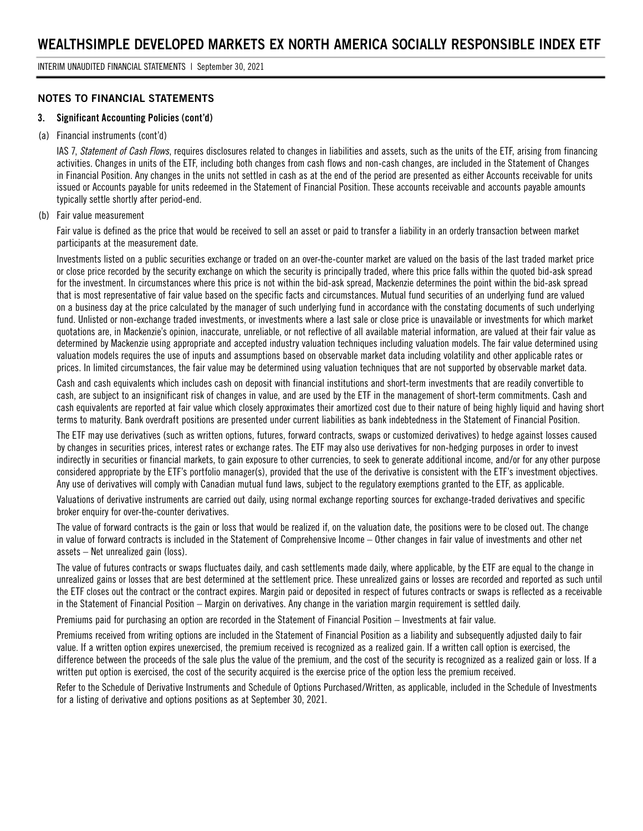### **NOTES TO FINANCIAL STATEMENTS**

#### **3. Significant Accounting Policies (cont'd)**

#### (a) Financial instruments (cont'd)

IAS 7, *Statement of Cash Flows*, requires disclosures related to changes in liabilities and assets, such as the units of the ETF, arising from financing activities. Changes in units of the ETF, including both changes from cash flows and non-cash changes, are included in the Statement of Changes in Financial Position. Any changes in the units not settled in cash as at the end of the period are presented as either Accounts receivable for units issued or Accounts payable for units redeemed in the Statement of Financial Position. These accounts receivable and accounts payable amounts typically settle shortly after period-end.

#### (b) Fair value measurement

Fair value is defined as the price that would be received to sell an asset or paid to transfer a liability in an orderly transaction between market participants at the measurement date.

Investments listed on a public securities exchange or traded on an over-the-counter market are valued on the basis of the last traded market price or close price recorded by the security exchange on which the security is principally traded, where this price falls within the quoted bid-ask spread for the investment. In circumstances where this price is not within the bid-ask spread, Mackenzie determines the point within the bid-ask spread that is most representative of fair value based on the specific facts and circumstances. Mutual fund securities of an underlying fund are valued on a business day at the price calculated by the manager of such underlying fund in accordance with the constating documents of such underlying fund. Unlisted or non-exchange traded investments, or investments where a last sale or close price is unavailable or investments for which market quotations are, in Mackenzie's opinion, inaccurate, unreliable, or not reflective of all available material information, are valued at their fair value as determined by Mackenzie using appropriate and accepted industry valuation techniques including valuation models. The fair value determined using valuation models requires the use of inputs and assumptions based on observable market data including volatility and other applicable rates or prices. In limited circumstances, the fair value may be determined using valuation techniques that are not supported by observable market data.

Cash and cash equivalents which includes cash on deposit with financial institutions and short-term investments that are readily convertible to cash, are subject to an insignificant risk of changes in value, and are used by the ETF in the management of short-term commitments. Cash and cash equivalents are reported at fair value which closely approximates their amortized cost due to their nature of being highly liquid and having short terms to maturity. Bank overdraft positions are presented under current liabilities as bank indebtedness in the Statement of Financial Position.

The ETF may use derivatives (such as written options, futures, forward contracts, swaps or customized derivatives) to hedge against losses caused by changes in securities prices, interest rates or exchange rates. The ETF may also use derivatives for non-hedging purposes in order to invest indirectly in securities or financial markets, to gain exposure to other currencies, to seek to generate additional income, and/or for any other purpose considered appropriate by the ETF's portfolio manager(s), provided that the use of the derivative is consistent with the ETF's investment objectives. Any use of derivatives will comply with Canadian mutual fund laws, subject to the regulatory exemptions granted to the ETF, as applicable.

Valuations of derivative instruments are carried out daily, using normal exchange reporting sources for exchange-traded derivatives and specific broker enquiry for over-the-counter derivatives.

The value of forward contracts is the gain or loss that would be realized if, on the valuation date, the positions were to be closed out. The change in value of forward contracts is included in the Statement of Comprehensive Income – Other changes in fair value of investments and other net assets – Net unrealized gain (loss).

The value of futures contracts or swaps fluctuates daily, and cash settlements made daily, where applicable, by the ETF are equal to the change in unrealized gains or losses that are best determined at the settlement price. These unrealized gains or losses are recorded and reported as such until the ETF closes out the contract or the contract expires. Margin paid or deposited in respect of futures contracts or swaps is reflected as a receivable in the Statement of Financial Position – Margin on derivatives. Any change in the variation margin requirement is settled daily.

Premiums paid for purchasing an option are recorded in the Statement of Financial Position – Investments at fair value.

Premiums received from writing options are included in the Statement of Financial Position as a liability and subsequently adjusted daily to fair value. If a written option expires unexercised, the premium received is recognized as a realized gain. If a written call option is exercised, the difference between the proceeds of the sale plus the value of the premium, and the cost of the security is recognized as a realized gain or loss. If a written put option is exercised, the cost of the security acquired is the exercise price of the option less the premium received.

Refer to the Schedule of Derivative Instruments and Schedule of Options Purchased/Written, as applicable, included in the Schedule of Investments for a listing of derivative and options positions as at September 30, 2021.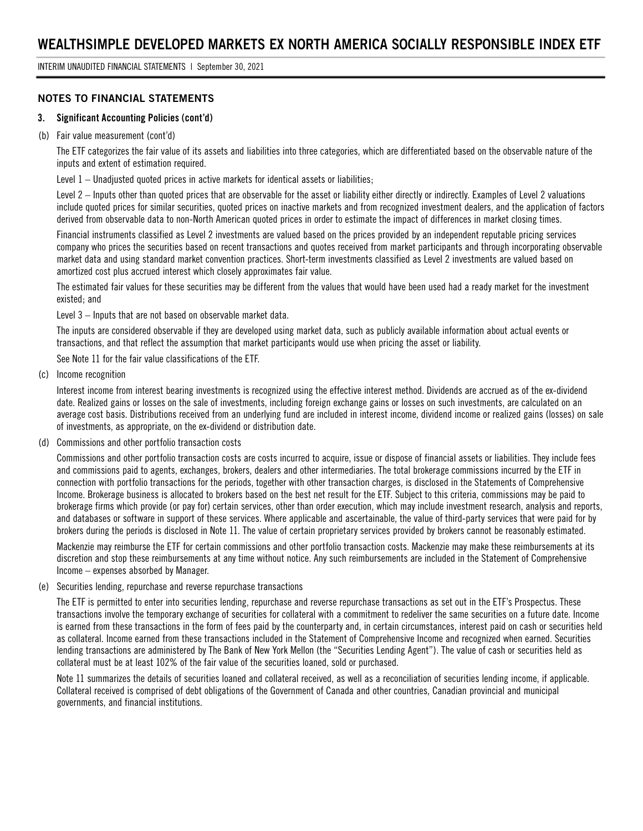INTERIM UNAUDITED FINANCIAL STATEMENTS | September 30, 2021

### **NOTES TO FINANCIAL STATEMENTS**

#### **3. Significant Accounting Policies (cont'd)**

#### (b) Fair value measurement (cont'd)

The ETF categorizes the fair value of its assets and liabilities into three categories, which are differentiated based on the observable nature of the inputs and extent of estimation required.

Level 1 – Unadjusted quoted prices in active markets for identical assets or liabilities;

Level 2 – Inputs other than quoted prices that are observable for the asset or liability either directly or indirectly. Examples of Level 2 valuations include quoted prices for similar securities, quoted prices on inactive markets and from recognized investment dealers, and the application of factors derived from observable data to non-North American quoted prices in order to estimate the impact of differences in market closing times.

Financial instruments classified as Level 2 investments are valued based on the prices provided by an independent reputable pricing services company who prices the securities based on recent transactions and quotes received from market participants and through incorporating observable market data and using standard market convention practices. Short-term investments classified as Level 2 investments are valued based on amortized cost plus accrued interest which closely approximates fair value.

The estimated fair values for these securities may be different from the values that would have been used had a ready market for the investment existed; and

Level 3 – Inputs that are not based on observable market data.

The inputs are considered observable if they are developed using market data, such as publicly available information about actual events or transactions, and that reflect the assumption that market participants would use when pricing the asset or liability.

See Note 11 for the fair value classifications of the ETF.

(c) Income recognition

Interest income from interest bearing investments is recognized using the effective interest method. Dividends are accrued as of the ex-dividend date. Realized gains or losses on the sale of investments, including foreign exchange gains or losses on such investments, are calculated on an average cost basis. Distributions received from an underlying fund are included in interest income, dividend income or realized gains (losses) on sale of investments, as appropriate, on the ex-dividend or distribution date.

(d) Commissions and other portfolio transaction costs

Commissions and other portfolio transaction costs are costs incurred to acquire, issue or dispose of financial assets or liabilities. They include fees and commissions paid to agents, exchanges, brokers, dealers and other intermediaries. The total brokerage commissions incurred by the ETF in connection with portfolio transactions for the periods, together with other transaction charges, is disclosed in the Statements of Comprehensive Income. Brokerage business is allocated to brokers based on the best net result for the ETF. Subject to this criteria, commissions may be paid to brokerage firms which provide (or pay for) certain services, other than order execution, which may include investment research, analysis and reports, and databases or software in support of these services. Where applicable and ascertainable, the value of third-party services that were paid for by brokers during the periods is disclosed in Note 11. The value of certain proprietary services provided by brokers cannot be reasonably estimated.

Mackenzie may reimburse the ETF for certain commissions and other portfolio transaction costs. Mackenzie may make these reimbursements at its discretion and stop these reimbursements at any time without notice. Any such reimbursements are included in the Statement of Comprehensive Income – expenses absorbed by Manager.

#### (e) Securities lending, repurchase and reverse repurchase transactions

The ETF is permitted to enter into securities lending, repurchase and reverse repurchase transactions as set out in the ETF's Prospectus. These transactions involve the temporary exchange of securities for collateral with a commitment to redeliver the same securities on a future date. Income is earned from these transactions in the form of fees paid by the counterparty and, in certain circumstances, interest paid on cash or securities held as collateral. Income earned from these transactions included in the Statement of Comprehensive Income and recognized when earned. Securities lending transactions are administered by The Bank of New York Mellon (the "Securities Lending Agent"). The value of cash or securities held as collateral must be at least 102% of the fair value of the securities loaned, sold or purchased.

Note 11 summarizes the details of securities loaned and collateral received, as well as a reconciliation of securities lending income, if applicable. Collateral received is comprised of debt obligations of the Government of Canada and other countries, Canadian provincial and municipal governments, and financial institutions.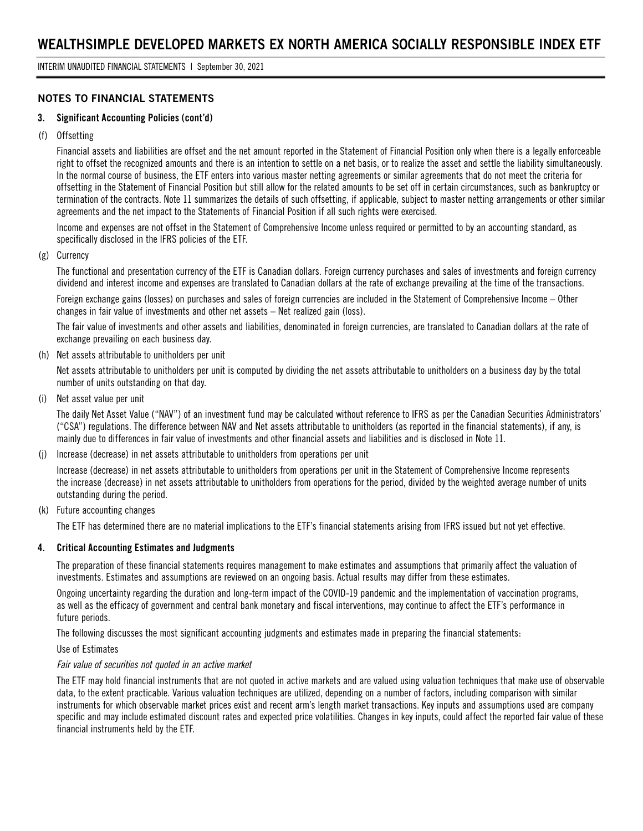# **NOTES TO FINANCIAL STATEMENTS**

#### **3. Significant Accounting Policies (cont'd)**

(f) Offsetting

Financial assets and liabilities are offset and the net amount reported in the Statement of Financial Position only when there is a legally enforceable right to offset the recognized amounts and there is an intention to settle on a net basis, or to realize the asset and settle the liability simultaneously. In the normal course of business, the ETF enters into various master netting agreements or similar agreements that do not meet the criteria for offsetting in the Statement of Financial Position but still allow for the related amounts to be set off in certain circumstances, such as bankruptcy or termination of the contracts. Note 11 summarizes the details of such offsetting, if applicable, subject to master netting arrangements or other similar agreements and the net impact to the Statements of Financial Position if all such rights were exercised.

Income and expenses are not offset in the Statement of Comprehensive Income unless required or permitted to by an accounting standard, as specifically disclosed in the IFRS policies of the ETF.

(g) Currency

The functional and presentation currency of the ETF is Canadian dollars. Foreign currency purchases and sales of investments and foreign currency dividend and interest income and expenses are translated to Canadian dollars at the rate of exchange prevailing at the time of the transactions.

Foreign exchange gains (losses) on purchases and sales of foreign currencies are included in the Statement of Comprehensive Income – Other changes in fair value of investments and other net assets – Net realized gain (loss).

The fair value of investments and other assets and liabilities, denominated in foreign currencies, are translated to Canadian dollars at the rate of exchange prevailing on each business day.

(h) Net assets attributable to unitholders per unit

Net assets attributable to unitholders per unit is computed by dividing the net assets attributable to unitholders on a business day by the total number of units outstanding on that day.

(i) Net asset value per unit

The daily Net Asset Value ("NAV") of an investment fund may be calculated without reference to IFRS as per the Canadian Securities Administrators' ("CSA") regulations. The difference between NAV and Net assets attributable to unitholders (as reported in the financial statements), if any, is mainly due to differences in fair value of investments and other financial assets and liabilities and is disclosed in Note 11.

(j) Increase (decrease) in net assets attributable to unitholders from operations per unit

Increase (decrease) in net assets attributable to unitholders from operations per unit in the Statement of Comprehensive Income represents the increase (decrease) in net assets attributable to unitholders from operations for the period, divided by the weighted average number of units outstanding during the period.

(k) Future accounting changes

The ETF has determined there are no material implications to the ETF's financial statements arising from IFRS issued but not yet effective.

#### **4. Critical Accounting Estimates and Judgments**

The preparation of these financial statements requires management to make estimates and assumptions that primarily affect the valuation of investments. Estimates and assumptions are reviewed on an ongoing basis. Actual results may differ from these estimates.

Ongoing uncertainty regarding the duration and long-term impact of the COVID-19 pandemic and the implementation of vaccination programs, as well as the efficacy of government and central bank monetary and fiscal interventions, may continue to affect the ETF's performance in future periods.

The following discusses the most significant accounting judgments and estimates made in preparing the financial statements:

Use of Estimates

#### *Fair value of securities not quoted in an active market*

The ETF may hold financial instruments that are not quoted in active markets and are valued using valuation techniques that make use of observable data, to the extent practicable. Various valuation techniques are utilized, depending on a number of factors, including comparison with similar instruments for which observable market prices exist and recent arm's length market transactions. Key inputs and assumptions used are company specific and may include estimated discount rates and expected price volatilities. Changes in key inputs, could affect the reported fair value of these financial instruments held by the ETF.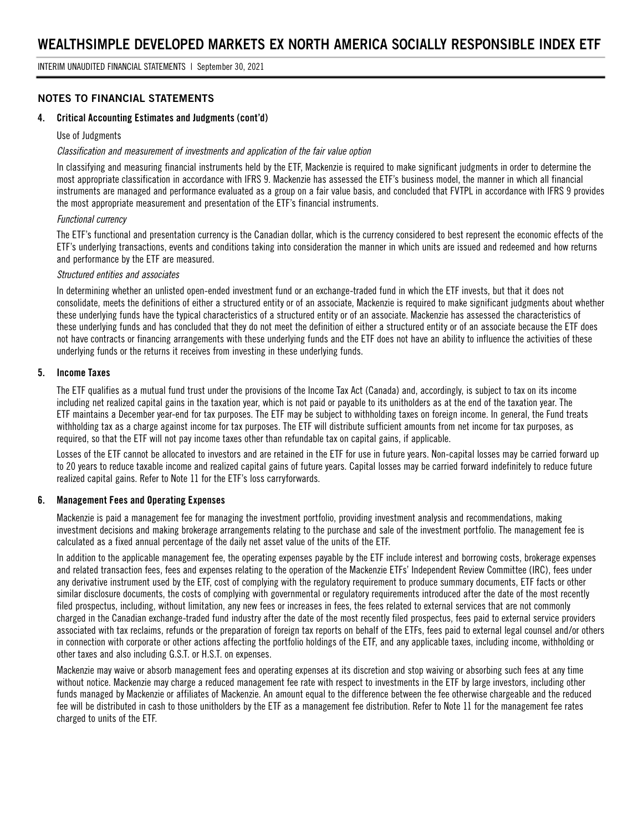### **NOTES TO FINANCIAL STATEMENTS**

#### **4. Critical Accounting Estimates and Judgments (cont'd)**

#### Use of Judgments

#### *Classification and measurement of investments and application of the fair value option*

In classifying and measuring financial instruments held by the ETF, Mackenzie is required to make significant judgments in order to determine the most appropriate classification in accordance with IFRS 9. Mackenzie has assessed the ETF's business model, the manner in which all financial instruments are managed and performance evaluated as a group on a fair value basis, and concluded that FVTPL in accordance with IFRS 9 provides the most appropriate measurement and presentation of the ETF's financial instruments.

#### *Functional currency*

The ETF's functional and presentation currency is the Canadian dollar, which is the currency considered to best represent the economic effects of the ETF's underlying transactions, events and conditions taking into consideration the manner in which units are issued and redeemed and how returns and performance by the ETF are measured.

#### *Structured entities and associates*

In determining whether an unlisted open-ended investment fund or an exchange-traded fund in which the ETF invests, but that it does not consolidate, meets the definitions of either a structured entity or of an associate, Mackenzie is required to make significant judgments about whether these underlying funds have the typical characteristics of a structured entity or of an associate. Mackenzie has assessed the characteristics of these underlying funds and has concluded that they do not meet the definition of either a structured entity or of an associate because the ETF does not have contracts or financing arrangements with these underlying funds and the ETF does not have an ability to influence the activities of these underlying funds or the returns it receives from investing in these underlying funds.

#### **5. Income Taxes**

The ETF qualifies as a mutual fund trust under the provisions of the Income Tax Act (Canada) and, accordingly, is subject to tax on its income including net realized capital gains in the taxation year, which is not paid or payable to its unitholders as at the end of the taxation year. The ETF maintains a December year-end for tax purposes. The ETF may be subject to withholding taxes on foreign income. In general, the Fund treats withholding tax as a charge against income for tax purposes. The ETF will distribute sufficient amounts from net income for tax purposes, as required, so that the ETF will not pay income taxes other than refundable tax on capital gains, if applicable.

Losses of the ETF cannot be allocated to investors and are retained in the ETF for use in future years. Non-capital losses may be carried forward up to 20 years to reduce taxable income and realized capital gains of future years. Capital losses may be carried forward indefinitely to reduce future realized capital gains. Refer to Note 11 for the ETF's loss carryforwards.

#### **6. Management Fees and Operating Expenses**

Mackenzie is paid a management fee for managing the investment portfolio, providing investment analysis and recommendations, making investment decisions and making brokerage arrangements relating to the purchase and sale of the investment portfolio. The management fee is calculated as a fixed annual percentage of the daily net asset value of the units of the ETF.

In addition to the applicable management fee, the operating expenses payable by the ETF include interest and borrowing costs, brokerage expenses and related transaction fees, fees and expenses relating to the operation of the Mackenzie ETFs' Independent Review Committee (IRC), fees under any derivative instrument used by the ETF, cost of complying with the regulatory requirement to produce summary documents, ETF facts or other similar disclosure documents, the costs of complying with governmental or regulatory requirements introduced after the date of the most recently filed prospectus, including, without limitation, any new fees or increases in fees, the fees related to external services that are not commonly charged in the Canadian exchange-traded fund industry after the date of the most recently filed prospectus, fees paid to external service providers associated with tax reclaims, refunds or the preparation of foreign tax reports on behalf of the ETFs, fees paid to external legal counsel and/or others in connection with corporate or other actions affecting the portfolio holdings of the ETF, and any applicable taxes, including income, withholding or other taxes and also including G.S.T. or H.S.T. on expenses.

Mackenzie may waive or absorb management fees and operating expenses at its discretion and stop waiving or absorbing such fees at any time without notice. Mackenzie may charge a reduced management fee rate with respect to investments in the ETF by large investors, including other funds managed by Mackenzie or affiliates of Mackenzie. An amount equal to the difference between the fee otherwise chargeable and the reduced fee will be distributed in cash to those unitholders by the ETF as a management fee distribution. Refer to Note 11 for the management fee rates charged to units of the ETF.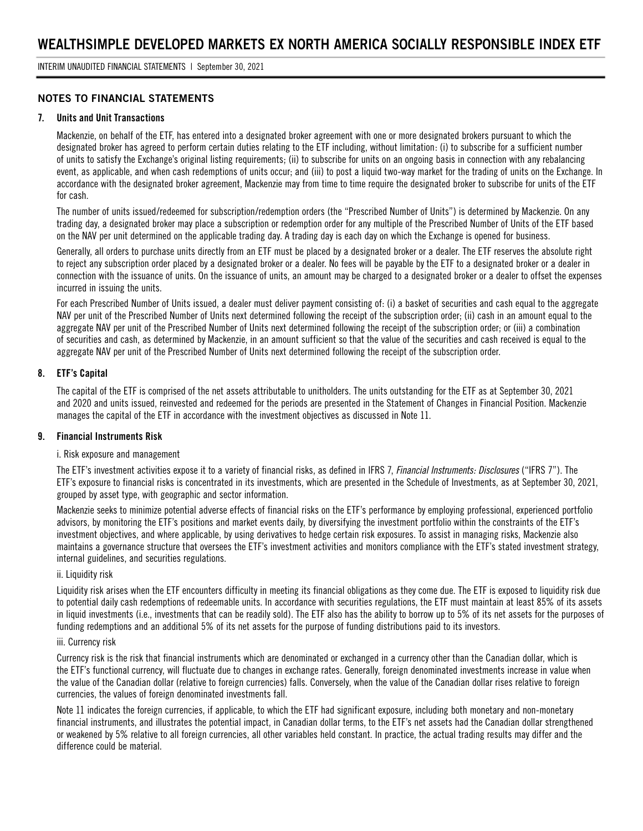### **NOTES TO FINANCIAL STATEMENTS**

#### **7. Units and Unit Transactions**

Mackenzie, on behalf of the ETF, has entered into a designated broker agreement with one or more designated brokers pursuant to which the designated broker has agreed to perform certain duties relating to the ETF including, without limitation: (i) to subscribe for a sufficient number of units to satisfy the Exchange's original listing requirements; (ii) to subscribe for units on an ongoing basis in connection with any rebalancing event, as applicable, and when cash redemptions of units occur; and (iii) to post a liquid two-way market for the trading of units on the Exchange. In accordance with the designated broker agreement, Mackenzie may from time to time require the designated broker to subscribe for units of the ETF for cash.

The number of units issued/redeemed for subscription/redemption orders (the "Prescribed Number of Units") is determined by Mackenzie. On any trading day, a designated broker may place a subscription or redemption order for any multiple of the Prescribed Number of Units of the ETF based on the NAV per unit determined on the applicable trading day. A trading day is each day on which the Exchange is opened for business.

Generally, all orders to purchase units directly from an ETF must be placed by a designated broker or a dealer. The ETF reserves the absolute right to reject any subscription order placed by a designated broker or a dealer. No fees will be payable by the ETF to a designated broker or a dealer in connection with the issuance of units. On the issuance of units, an amount may be charged to a designated broker or a dealer to offset the expenses incurred in issuing the units.

For each Prescribed Number of Units issued, a dealer must deliver payment consisting of: (i) a basket of securities and cash equal to the aggregate NAV per unit of the Prescribed Number of Units next determined following the receipt of the subscription order; (ii) cash in an amount equal to the aggregate NAV per unit of the Prescribed Number of Units next determined following the receipt of the subscription order; or (iii) a combination of securities and cash, as determined by Mackenzie, in an amount sufficient so that the value of the securities and cash received is equal to the aggregate NAV per unit of the Prescribed Number of Units next determined following the receipt of the subscription order.

#### **8. ETF's Capital**

The capital of the ETF is comprised of the net assets attributable to unitholders. The units outstanding for the ETF as at September 30, 2021 and 2020 and units issued, reinvested and redeemed for the periods are presented in the Statement of Changes in Financial Position. Mackenzie manages the capital of the ETF in accordance with the investment objectives as discussed in Note 11.

#### **9. Financial Instruments Risk**

#### i. Risk exposure and management

The ETF's investment activities expose it to a variety of financial risks, as defined in IFRS 7, *Financial Instruments: Disclosures* ("IFRS 7"). The ETF's exposure to financial risks is concentrated in its investments, which are presented in the Schedule of Investments, as at September 30, 2021, grouped by asset type, with geographic and sector information.

Mackenzie seeks to minimize potential adverse effects of financial risks on the ETF's performance by employing professional, experienced portfolio advisors, by monitoring the ETF's positions and market events daily, by diversifying the investment portfolio within the constraints of the ETF's investment objectives, and where applicable, by using derivatives to hedge certain risk exposures. To assist in managing risks, Mackenzie also maintains a governance structure that oversees the ETF's investment activities and monitors compliance with the ETF's stated investment strategy, internal guidelines, and securities regulations.

#### ii. Liquidity risk

Liquidity risk arises when the ETF encounters difficulty in meeting its financial obligations as they come due. The ETF is exposed to liquidity risk due to potential daily cash redemptions of redeemable units. In accordance with securities regulations, the ETF must maintain at least 85% of its assets in liquid investments (i.e., investments that can be readily sold). The ETF also has the ability to borrow up to 5% of its net assets for the purposes of funding redemptions and an additional 5% of its net assets for the purpose of funding distributions paid to its investors.

#### iii. Currency risk

Currency risk is the risk that financial instruments which are denominated or exchanged in a currency other than the Canadian dollar, which is the ETF's functional currency, will fluctuate due to changes in exchange rates. Generally, foreign denominated investments increase in value when the value of the Canadian dollar (relative to foreign currencies) falls. Conversely, when the value of the Canadian dollar rises relative to foreign currencies, the values of foreign denominated investments fall.

Note 11 indicates the foreign currencies, if applicable, to which the ETF had significant exposure, including both monetary and non-monetary financial instruments, and illustrates the potential impact, in Canadian dollar terms, to the ETF's net assets had the Canadian dollar strengthened or weakened by 5% relative to all foreign currencies, all other variables held constant. In practice, the actual trading results may differ and the difference could be material.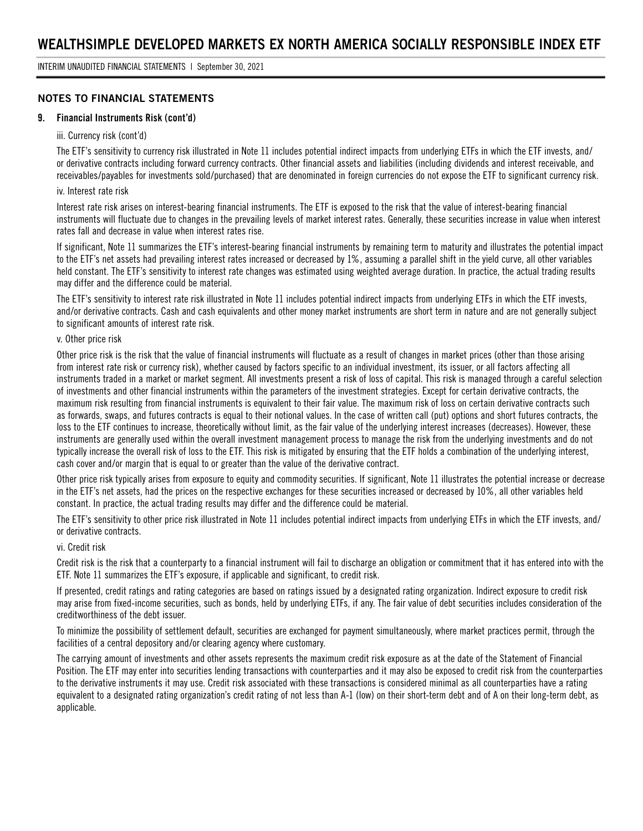### **NOTES TO FINANCIAL STATEMENTS**

#### **9. Financial Instruments Risk (cont'd)**

#### iii. Currency risk (cont'd)

The ETF's sensitivity to currency risk illustrated in Note 11 includes potential indirect impacts from underlying ETFs in which the ETF invests, and/ or derivative contracts including forward currency contracts. Other financial assets and liabilities (including dividends and interest receivable, and receivables/payables for investments sold/purchased) that are denominated in foreign currencies do not expose the ETF to significant currency risk.

#### iv. Interest rate risk

Interest rate risk arises on interest-bearing financial instruments. The ETF is exposed to the risk that the value of interest-bearing financial instruments will fluctuate due to changes in the prevailing levels of market interest rates. Generally, these securities increase in value when interest rates fall and decrease in value when interest rates rise.

If significant, Note 11 summarizes the ETF's interest-bearing financial instruments by remaining term to maturity and illustrates the potential impact to the ETF's net assets had prevailing interest rates increased or decreased by 1%, assuming a parallel shift in the yield curve, all other variables held constant. The ETF's sensitivity to interest rate changes was estimated using weighted average duration. In practice, the actual trading results may differ and the difference could be material.

The ETF's sensitivity to interest rate risk illustrated in Note 11 includes potential indirect impacts from underlying ETFs in which the ETF invests, and/or derivative contracts. Cash and cash equivalents and other money market instruments are short term in nature and are not generally subject to significant amounts of interest rate risk.

#### v. Other price risk

Other price risk is the risk that the value of financial instruments will fluctuate as a result of changes in market prices (other than those arising from interest rate risk or currency risk), whether caused by factors specific to an individual investment, its issuer, or all factors affecting all instruments traded in a market or market segment. All investments present a risk of loss of capital. This risk is managed through a careful selection of investments and other financial instruments within the parameters of the investment strategies. Except for certain derivative contracts, the maximum risk resulting from financial instruments is equivalent to their fair value. The maximum risk of loss on certain derivative contracts such as forwards, swaps, and futures contracts is equal to their notional values. In the case of written call (put) options and short futures contracts, the loss to the ETF continues to increase, theoretically without limit, as the fair value of the underlying interest increases (decreases). However, these instruments are generally used within the overall investment management process to manage the risk from the underlying investments and do not typically increase the overall risk of loss to the ETF. This risk is mitigated by ensuring that the ETF holds a combination of the underlying interest, cash cover and/or margin that is equal to or greater than the value of the derivative contract.

Other price risk typically arises from exposure to equity and commodity securities. If significant, Note 11 illustrates the potential increase or decrease in the ETF's net assets, had the prices on the respective exchanges for these securities increased or decreased by 10%, all other variables held constant. In practice, the actual trading results may differ and the difference could be material.

The ETF's sensitivity to other price risk illustrated in Note 11 includes potential indirect impacts from underlying ETFs in which the ETF invests, and/ or derivative contracts.

#### vi. Credit risk

Credit risk is the risk that a counterparty to a financial instrument will fail to discharge an obligation or commitment that it has entered into with the ETF. Note 11 summarizes the ETF's exposure, if applicable and significant, to credit risk.

If presented, credit ratings and rating categories are based on ratings issued by a designated rating organization. Indirect exposure to credit risk may arise from fixed-income securities, such as bonds, held by underlying ETFs, if any. The fair value of debt securities includes consideration of the creditworthiness of the debt issuer.

To minimize the possibility of settlement default, securities are exchanged for payment simultaneously, where market practices permit, through the facilities of a central depository and/or clearing agency where customary.

The carrying amount of investments and other assets represents the maximum credit risk exposure as at the date of the Statement of Financial Position. The ETF may enter into securities lending transactions with counterparties and it may also be exposed to credit risk from the counterparties to the derivative instruments it may use. Credit risk associated with these transactions is considered minimal as all counterparties have a rating equivalent to a designated rating organization's credit rating of not less than A-1 (low) on their short-term debt and of A on their long-term debt, as applicable.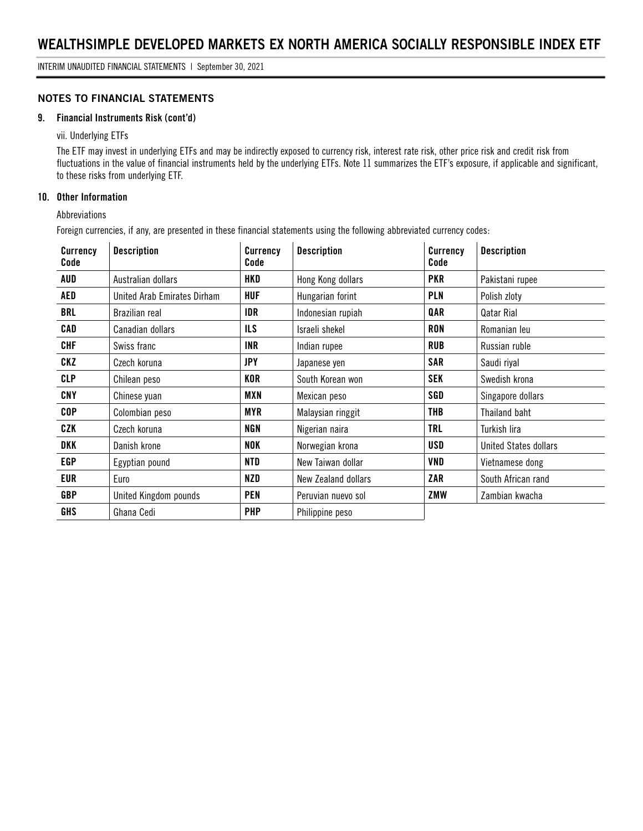### **NOTES TO FINANCIAL STATEMENTS**

#### **9. Financial Instruments Risk (cont'd)**

vii. Underlying ETFs

The ETF may invest in underlying ETFs and may be indirectly exposed to currency risk, interest rate risk, other price risk and credit risk from fluctuations in the value of financial instruments held by the underlying ETFs. Note 11 summarizes the ETF's exposure, if applicable and significant, to these risks from underlying ETF.

### **10. Other Information**

Abbreviations

Foreign currencies, if any, are presented in these financial statements using the following abbreviated currency codes:

| <b>Currency</b><br>Code | <b>Description</b>          | <b>Currency</b><br>Code | <b>Description</b>  | Currency<br>Code | <b>Description</b>           |
|-------------------------|-----------------------------|-------------------------|---------------------|------------------|------------------------------|
| AUD                     | Australian dollars          | HKD                     | Hong Kong dollars   | <b>PKR</b>       | Pakistani rupee              |
| AED                     | United Arab Emirates Dirham | <b>HUF</b>              | Hungarian forint    | PLN              | Polish zloty                 |
| <b>BRL</b>              | Brazilian real              | IDR                     | Indonesian rupiah   | QAR              | Qatar Rial                   |
| CAD                     | Canadian dollars            | <b>ILS</b>              | Israeli shekel      | <b>RON</b>       | Romanian leu                 |
| <b>CHF</b>              | Swiss franc                 | <b>INR</b>              | Indian rupee        | <b>RUB</b>       | Russian ruble                |
| CKZ                     | Czech koruna                | <b>JPY</b>              | Japanese yen        | <b>SAR</b>       | Saudi riyal                  |
| <b>CLP</b>              | Chilean peso                | KOR                     | South Korean won    | <b>SEK</b>       | Swedish krona                |
| CNY                     | Chinese yuan                | MXN                     | Mexican peso        | SGD              | Singapore dollars            |
| <b>COP</b>              | Colombian peso              | MYR                     | Malaysian ringgit   | THB              | Thailand baht                |
| CZK                     | Czech koruna                | <b>NGN</b>              | Nigerian naira      | <b>TRL</b>       | Turkish lira                 |
| DKK                     | Danish krone                | NOK                     | Norwegian krona     | USD              | <b>United States dollars</b> |
| <b>EGP</b>              | Egyptian pound              | NTD                     | New Taiwan dollar   | VND              | Vietnamese dong              |
| EUR                     | Euro                        | NZD                     | New Zealand dollars | ZAR              | South African rand           |
| <b>GBP</b>              | United Kingdom pounds       | <b>PEN</b>              | Peruvian nuevo sol  | ZMW              | Zambian kwacha               |
| <b>GHS</b>              | Ghana Cedi                  | <b>PHP</b>              | Philippine peso     |                  |                              |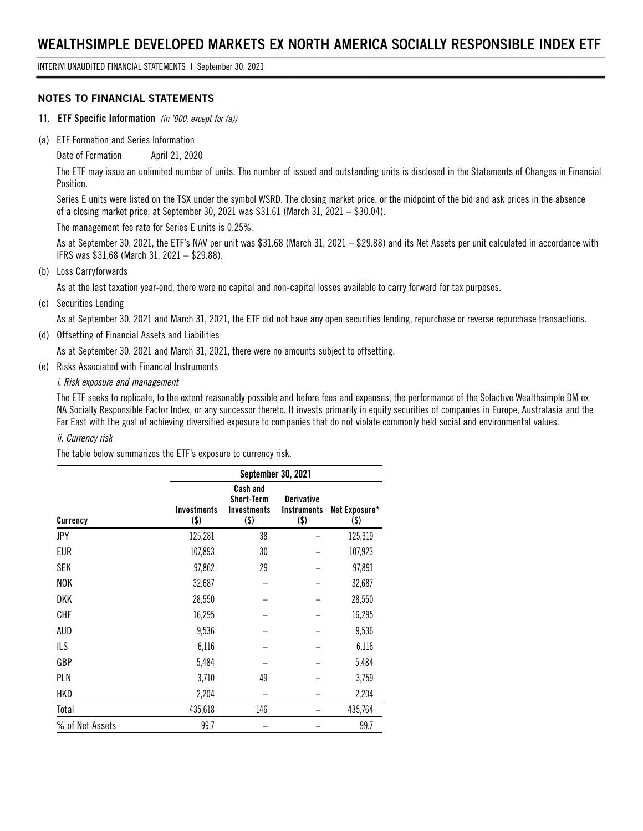INTERIM UNAUDITED FINANCIAL STATEMENTS | September 30, 2021

#### **NOTES TO FINANCIAL STATEMENTS**

- **11. ETF Specific Information** *(in '000, except for (a))*
- (a) ETF Formation and Series Information

Date of Formation April 21, 2020

The ETF may issue an unlimited number of units. The number of issued and outstanding units is disclosed in the Statements of Changes in Financial Position.

Series E units were listed on the TSX under the symbol WSRD. The closing market price, or the midpoint of the bid and ask prices in the absence of a closing market price, at September 30, 2021 was \$31.61 (March 31, 2021 – \$30.04).

The management fee rate for Series E units is 0.25%.

As at September 30, 2021, the ETF's NAV per unit was \$31.68 (March 31, 2021 – \$29.88) and its Net Assets per unit calculated in accordance with IFRS was \$31.68 (March 31, 2021 – \$29.88).

(b) Loss Carryforwards

As at the last taxation year-end, there were no capital and non-capital losses available to carry forward for tax purposes.

(c) Securities Lending

As at September 30, 2021 and March 31, 2021, the ETF did not have any open securities lending, repurchase or reverse repurchase transactions.

(d) Offsetting of Financial Assets and Liabilities

As at September 30, 2021 and March 31, 2021, there were no amounts subject to offsetting.

(e) Risks Associated with Financial Instruments

#### *i. Risk exposure and management*

The ETF seeks to replicate, to the extent reasonably possible and before fees and expenses, the performance of the Solactive Wealthsimple DM ex NA Socially Responsible Factor Index, or any successor thereto. It invests primarily in equity securities of companies in Europe, Australasia and the Far East with the goal of achieving diversified exposure to companies that do not violate commonly held social and environmental values.

#### *ii. Currency risk*

The table below summarizes the ETF's exposure to currency risk.

|                 |                               | September 30, 2021                                                    |                                                    |                       |  |  |  |
|-----------------|-------------------------------|-----------------------------------------------------------------------|----------------------------------------------------|-----------------------|--|--|--|
| Currency        | <b>Investments</b><br>$($ \$) | <b>Cash and</b><br><b>Short-Term</b><br><b>Investments</b><br>$($ \$) | <b>Derivative</b><br><b>Instruments</b><br>$($ \$) | Net Exposure*<br>(\$) |  |  |  |
| JPY             | 125,281                       | 38                                                                    |                                                    | 125,319               |  |  |  |
| <b>EUR</b>      | 107,893                       | 30                                                                    |                                                    | 107,923               |  |  |  |
| SEK             | 97,862                        | 29                                                                    |                                                    | 97,891                |  |  |  |
| <b>NOK</b>      | 32,687                        |                                                                       |                                                    | 32,687                |  |  |  |
| DKK             | 28,550                        |                                                                       |                                                    | 28,550                |  |  |  |
| <b>CHF</b>      | 16,295                        |                                                                       |                                                    | 16,295                |  |  |  |
| <b>AUD</b>      | 9,536                         |                                                                       |                                                    | 9,536                 |  |  |  |
| <b>ILS</b>      | 6,116                         |                                                                       |                                                    | 6,116                 |  |  |  |
| <b>GBP</b>      | 5,484                         |                                                                       |                                                    | 5,484                 |  |  |  |
| PLN             | 3,710                         | 49                                                                    |                                                    | 3,759                 |  |  |  |
| HKD             | 2,204                         |                                                                       |                                                    | 2,204                 |  |  |  |
| Total           | 435,618                       | 146                                                                   |                                                    | 435,764               |  |  |  |
| % of Net Assets | 99.7                          |                                                                       |                                                    | 99.7                  |  |  |  |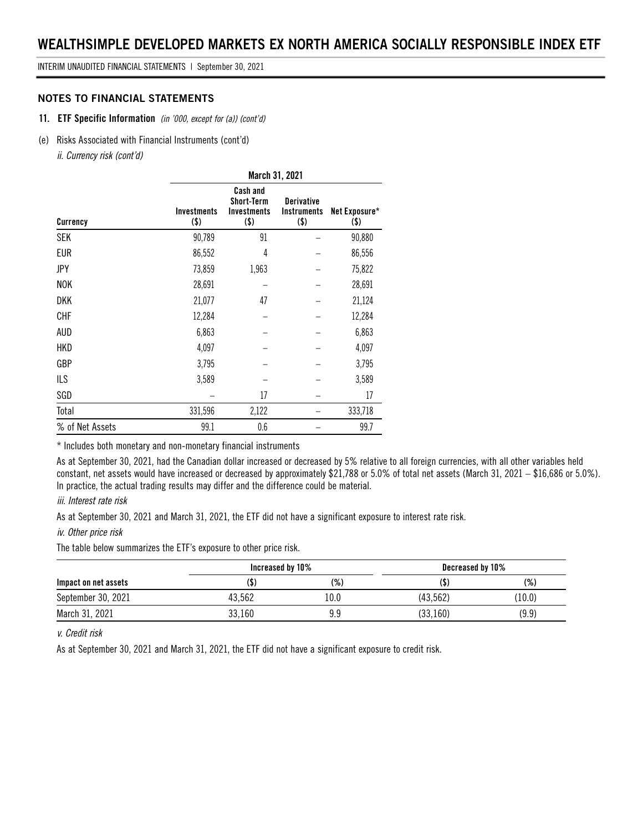INTERIM UNAUDITED FINANCIAL STATEMENTS | September 30, 2021

#### **NOTES TO FINANCIAL STATEMENTS**

#### **11. ETF Specific Information** *(in '000, except for (a)) (cont'd)*

#### (e) Risks Associated with Financial Instruments (cont'd)

*ii. Currency risk (cont'd)*

|                 | March 31, 2021                |                                                                       |                                                    |                          |  |  |  |
|-----------------|-------------------------------|-----------------------------------------------------------------------|----------------------------------------------------|--------------------------|--|--|--|
| Currency        | <b>Investments</b><br>$($ \$) | <b>Cash and</b><br><b>Short-Term</b><br><b>Investments</b><br>$($ \$) | <b>Derivative</b><br><b>Instruments</b><br>$($ \$) | Net Exposure*<br>$($ \$) |  |  |  |
| <b>SEK</b>      | 90,789                        | 91                                                                    |                                                    | 90,880                   |  |  |  |
| <b>EUR</b>      | 86,552                        | 4                                                                     |                                                    | 86,556                   |  |  |  |
| JPY             | 73,859                        | 1,963                                                                 |                                                    | 75,822                   |  |  |  |
| <b>NOK</b>      | 28,691                        |                                                                       |                                                    | 28,691                   |  |  |  |
| DKK             | 21,077                        | 47                                                                    |                                                    | 21,124                   |  |  |  |
| <b>CHF</b>      | 12,284                        |                                                                       |                                                    | 12,284                   |  |  |  |
| AUD             | 6,863                         |                                                                       |                                                    | 6,863                    |  |  |  |
| HKD             | 4,097                         |                                                                       |                                                    | 4,097                    |  |  |  |
| GBP             | 3,795                         |                                                                       |                                                    | 3,795                    |  |  |  |
| ILS             | 3,589                         |                                                                       |                                                    | 3,589                    |  |  |  |
| SGD             |                               | 17                                                                    |                                                    | 17                       |  |  |  |
| Total           | 331,596                       | 2,122                                                                 |                                                    | 333,718                  |  |  |  |
| % of Net Assets | 99.1                          | 0.6                                                                   |                                                    | 99.7                     |  |  |  |

\* Includes both monetary and non-monetary financial instruments

As at September 30, 2021, had the Canadian dollar increased or decreased by 5% relative to all foreign currencies, with all other variables held constant, net assets would have increased or decreased by approximately \$21,788 or 5.0% of total net assets (March 31, 2021 – \$16,686 or 5.0%). In practice, the actual trading results may differ and the difference could be material.

#### *iii. Interest rate risk*

As at September 30, 2021 and March 31, 2021, the ETF did not have a significant exposure to interest rate risk.

#### *iv. Other price risk*

The table below summarizes the ETF's exposure to other price risk.

|                      | Increased by 10% |           | Decreased by 10% |        |  |
|----------------------|------------------|-----------|------------------|--------|--|
| Impact on net assets |                  | (%)       |                  | (%)    |  |
| September 30, 2021   | 43.562           | l 0.0     | (43.562)         | (10.0) |  |
| March 31, 2021       | 33,160           | qα<br>J.J | (33, 160)        | (9.9)  |  |

#### *v. Credit risk*

As at September 30, 2021 and March 31, 2021, the ETF did not have a significant exposure to credit risk.